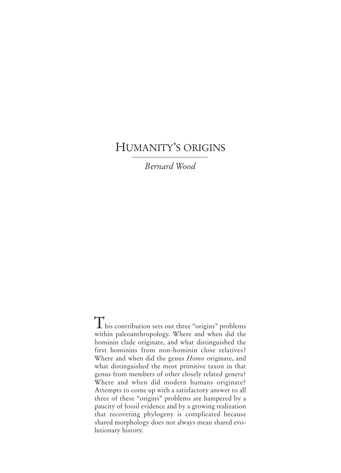## HUMANITY'S ORIGINS

*Bernard Wood*

This contribution sets out three "origins" problems within paleoanthropology. Where and when did the hominin clade originate, and what distinguished the first hominins from non-hominin close relatives? Where and when did the genus *Homo* originate, and what distinguished the most primitive taxon in that genus from members of other closely related genera? Where and when did modern humans originate? Attempts to come up with a satisfactory answer to all three of these "origins" problems are hampered by a paucity of fossil evidence and by a growing realization that recovering phylogeny is complicated because shared morphology does not always mean shared evolutionary history.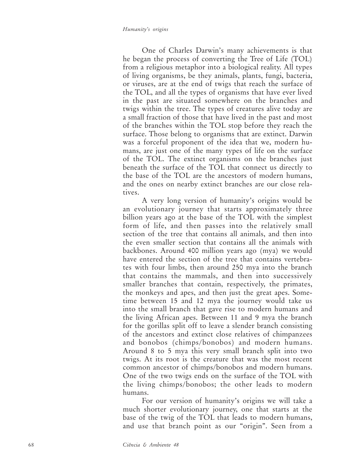One of Charles Darwin's many achievements is that he began the process of converting the Tree of Life (TOL) from a religious metaphor into a biological reality. All types of living organisms, be they animals, plants, fungi, bacteria, or viruses, are at the end of twigs that reach the surface of the TOL, and all the types of organisms that have ever lived in the past are situated somewhere on the branches and twigs within the tree. The types of creatures alive today are a small fraction of those that have lived in the past and most of the branches within the TOL stop before they reach the surface. Those belong to organisms that are extinct. Darwin was a forceful proponent of the idea that we, modern humans, are just one of the many types of life on the surface of the TOL. The extinct organisms on the branches just beneath the surface of the TOL that connect us directly to the base of the TOL are the ancestors of modern humans, and the ones on nearby extinct branches are our close relatives.

A very long version of humanity's origins would be an evolutionary journey that starts approximately three billion years ago at the base of the TOL with the simplest form of life, and then passes into the relatively small section of the tree that contains all animals, and then into the even smaller section that contains all the animals with backbones. Around 400 million years ago (mya) we would have entered the section of the tree that contains vertebrates with four limbs, then around 250 mya into the branch that contains the mammals, and then into successively smaller branches that contain, respectively, the primates, the monkeys and apes, and then just the great apes. Sometime between 15 and 12 mya the journey would take us into the small branch that gave rise to modern humans and the living African apes. Between 11 and 9 mya the branch for the gorillas split off to leave a slender branch consisting of the ancestors and extinct close relatives of chimpanzees and bonobos (chimps/bonobos) and modern humans. Around 8 to 5 mya this very small branch split into two twigs. At its root is the creature that was the most recent common ancestor of chimps/bonobos and modern humans. One of the two twigs ends on the surface of the TOL with the living chimps/bonobos; the other leads to modern humans.

For our version of humanity's origins we will take a much shorter evolutionary journey, one that starts at the base of the twig of the TOL that leads to modern humans, and use that branch point as our "origin". Seen from a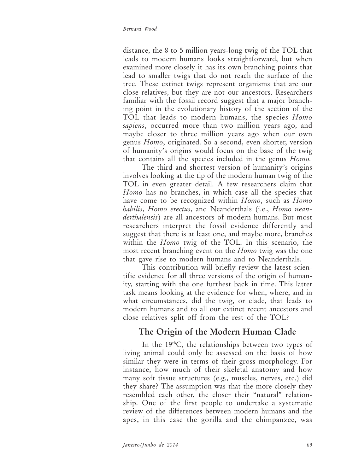distance, the 8 to 5 million years-long twig of the TOL that leads to modern humans looks straightforward, but when examined more closely it has its own branching points that lead to smaller twigs that do not reach the surface of the tree. These extinct twigs represent organisms that are our close relatives, but they are not our ancestors. Researchers familiar with the fossil record suggest that a major branching point in the evolutionary history of the section of the TOL that leads to modern humans, the species *Homo sapiens*, occurred more than two million years ago, and maybe closer to three million years ago when our own genus *Homo*, originated. So a second, even shorter, version of humanity's origins would focus on the base of the twig that contains all the species included in the genus *Homo.*

The third and shortest version of humanity's origins involves looking at the tip of the modern human twig of the TOL in even greater detail. A few researchers claim that *Homo* has no branches, in which case all the species that have come to be recognized within *Homo*, such as *Homo habilis*, *Homo erectus*, and Neanderthals (i.e., *Homo neanderthalensis*) are all ancestors of modern humans. But most researchers interpret the fossil evidence differently and suggest that there is at least one, and maybe more, branches within the *Homo* twig of the TOL. In this scenario, the most recent branching event on the *Homo* twig was the one that gave rise to modern humans and to Neanderthals.

This contribution will briefly review the latest scientific evidence for all three versions of the origin of humanity, starting with the one furthest back in time. This latter task means looking at the evidence for when, where, and in what circumstances, did the twig, or clade, that leads to modern humans and to all our extinct recent ancestors and close relatives split off from the rest of the TOL?

## **The Origin of the Modern Human Clade**

In the  $19\text{th}C$ , the relationships between two types of living animal could only be assessed on the basis of how similar they were in terms of their gross morphology. For instance, how much of their skeletal anatomy and how many soft tissue structures (e.g., muscles, nerves, etc.) did they share? The assumption was that the more closely they resembled each other, the closer their "natural" relationship. One of the first people to undertake a systematic review of the differences between modern humans and the apes, in this case the gorilla and the chimpanzee, was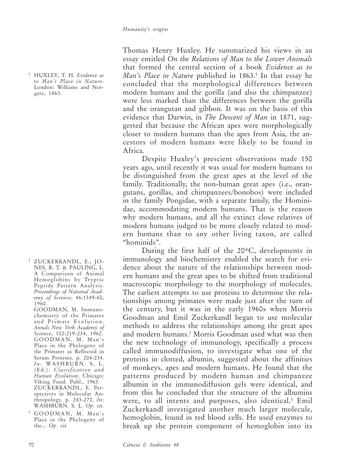Thomas Henry Huxley. He summarized his views in an essay entitled *On the Relations of Man to the Lower Animals* that formed the central section of a book *Evidence as to Man's Place in Nature* published in 1863.<sup>1</sup> In that essay he concluded that the morphological differences between modern humans and the gorilla (and also the chimpanzee) were less marked than the differences between the gorilla and the orangutan and gibbon. It was on the basis of this evidence that Darwin, in *The Descent of Man* in 1871, suggested that because the African apes were morphologically closer to modern humans than the apes from Asia, the ancestors of modern humans were likely to be found in Africa.

Despite Huxley's prescient observations made 150 years ago, until recently it was usual for modern humans to be distinguished from the great apes at the level of the family. Traditionally, the non-human great apes (i.e., orangutans, gorillas, and chimpanzees/bonobos) were included in the family Pongidae, with a separate family, the Hominidae, accommodating modern humans. That is the reason why modern humans, and all the extinct close relatives of modern humans judged to be more closely related to modern humans than to any other living taxon, are called "hominids".

During the first half of the 20thC, developments in immunology and biochemistry enabled the search for evidence about the nature of the relationships between modern humans and the great apes to be shifted from traditional macroscopic morphology to the morphology of molecules. The earliest attempts to use proteins to determine the relationships among primates were made just after the turn of the century, but it was in the early 1960s when Morris Goodman and Emil Zuckerkandl began to use molecular methods to address the relationships among the great apes and modern humans.2 Morris Goodman used what was then the new technology of immunology, specifically a process called immunodiffusion, to investigate what one of the proteins in clotted, albumin, suggested about the affinities of monkeys, apes and modern humans. He found that the patterns produced by modern human and chimpanzee albumin in the immunodiffusion gels were identical, and from this he concluded that the structure of the albumins were, to all intents and purposes, also identical.3 Emil Zuckerkandl investigated another much larger molecule, hemoglobin, found in red blood cells. He used enzymes to break up the protein component of hemoglobin into its

<sup>1</sup> HUXLEY, T. H. *Evidence as to Man's Place in Nature*. London: Williams and Norgate, 1863.

GOODMAN, M. Immunochemistry of the Primates and Primate Evolution. *Annals New York Academy of Science*, 102:219-234, 1962. GOODMAN, M. Man's Place in the Phylogeny of the Primates as Reflected in Serum Proteins. p. 204-234. *In*: WASHBURN. S. L. (Ed.). *Classification and Human Evolution*. Chicago: Viking Fund. Publ., 1963. ZUCKERKANDL, E. Perspectives in Molecular Anthropology. p. 243-272. *In*: WASHBURN. S. L. *Op. cit.*

<sup>3</sup> GOODMAN, M. Man's Place in the Phylogeny of the... *Op. cit.*

<sup>2</sup> ZUCKERKANDL, E.; JO-NES, R. T. & PAULING, L. A Comparison of Animal Hemoglobins by Tryptic Peptide Pattern Analysis. *Proceedings of National Academy of Science*, 46:1349-60, 1960.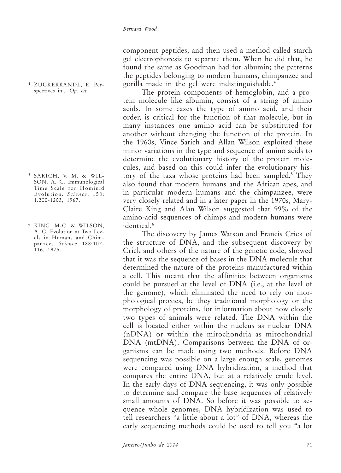component peptides, and then used a method called starch gel electrophoresis to separate them. When he did that, he found the same as Goodman had for albumin; the patterns the peptides belonging to modern humans, chimpanzee and gorilla made in the gel were indistinguishable.4

The protein components of hemoglobin, and a protein molecule like albumin, consist of a string of amino acids. In some cases the type of amino acid, and their order, is critical for the function of that molecule, but in many instances one amino acid can be substituted for another without changing the function of the protein. In the 1960s, Vince Sarich and Allan Wilson exploited these minor variations in the type and sequence of amino acids to determine the evolutionary history of the protein molecules, and based on this could infer the evolutionary history of the taxa whose proteins had been sampled.<sup>5</sup> They also found that modern humans and the African apes, and in particular modern humans and the chimpanzee, were very closely related and in a later paper in the 1970s, Mary-Claire King and Alan Wilson suggested that 99% of the amino-acid sequences of chimps and modern humans were identical.<sup>6</sup>

The discovery by James Watson and Francis Crick of the structure of DNA, and the subsequent discovery by Crick and others of the nature of the genetic code, showed that it was the sequence of bases in the DNA molecule that determined the nature of the proteins manufactured within a cell. This meant that the affinities between organisms could be pursued at the level of DNA (i.e., at the level of the genome), which eliminated the need to rely on morphological proxies, be they traditional morphology or the morphology of proteins, for information about how closely two types of animals were related. The DNA within the cell is located either within the nucleus as nuclear DNA (nDNA) or within the mitochondria as mitochondrial DNA (mtDNA). Comparisons between the DNA of organisms can be made using two methods. Before DNA sequencing was possible on a large enough scale, genomes were compared using DNA hybridization, a method that compares the entire DNA, but at a relatively crude level. In the early days of DNA sequencing, it was only possible to determine and compare the base sequences of relatively small amounts of DNA. So before it was possible to sequence whole genomes, DNA hybridization was used to tell researchers "a little about a lot" of DNA, whereas the early sequencing methods could be used to tell you "a lot

- <sup>5</sup> SARICH, V. M. & WIL-SON, A. C. Immunological Time Scale for Hominid Evolution. *Science*, 158: 1.200-1203, 1967.
- <sup>6</sup> KING, M-C. & WILSON, A. C. Evolution at Two Levels in Humans and Chimpanzees. *Science*, 188:107- 116, 1975.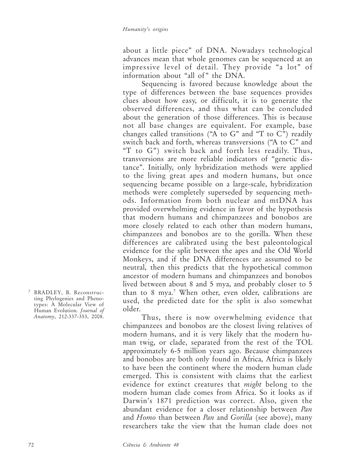about a little piece" of DNA. Nowadays technological advances mean that whole genomes can be sequenced at an impressive level of detail. They provide "a lot" of information about "all of" the DNA.

Sequencing is favored because knowledge about the type of differences between the base sequences provides clues about how easy, or difficult, it is to generate the observed differences, and thus what can be concluded about the generation of those differences. This is because not all base changes are equivalent. For example, base changes called transitions ("A to G" and "T to C") readily switch back and forth, whereas transversions ("A to C" and "T to G") switch back and forth less readily. Thus, transversions are more reliable indicators of "genetic distance". Initially, only hybridization methods were applied to the living great apes and modern humans, but once sequencing became possible on a large-scale, hybridization methods were completely superseded by sequencing methods. Information from both nuclear and mtDNA has provided overwhelming evidence in favor of the hypothesis that modern humans and chimpanzees and bonobos are more closely related to each other than modern humans, chimpanzees and bonobos are to the gorilla. When these differences are calibrated using the best paleontological evidence for the split between the apes and the Old World Monkeys, and if the DNA differences are assumed to be neutral, then this predicts that the hypothetical common ancestor of modern humans and chimpanzees and bonobos lived between about 8 and 5 mya, and probably closer to 5 than to 8 mya.7 When other, even older, calibrations are used, the predicted date for the split is also somewhat older.

Thus, there is now overwhelming evidence that chimpanzees and bonobos are the closest living relatives of modern humans, and it is very likely that the modern human twig, or clade, separated from the rest of the TOL approximately 6-5 million years ago. Because chimpanzees and bonobos are both only found in Africa, Africa is likely to have been the continent where the modern human clade emerged. This is consistent with claims that the earliest evidence for extinct creatures that *might* belong to the modern human clade comes from Africa. So it looks as if Darwin's 1871 prediction was correct. Also, given the abundant evidence for a closer relationship between *Pan* and *Homo* than between *Pan* and *Gorilla* (see above), many researchers take the view that the human clade does not

<sup>7</sup> BRADLEY, B. Reconstructing Phylogenies and Phenotypes: A Molecular View of Human Evolution. *Journal of Anatomy*, 212:337-353, 2008.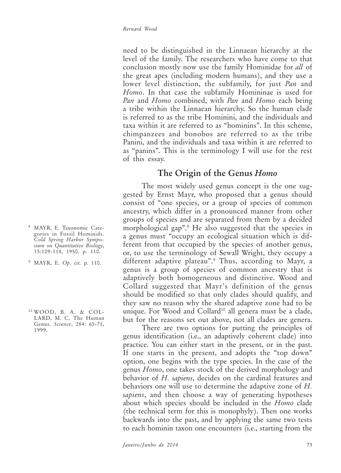need to be distinguished in the Linnaean hierarchy at the level of the family. The researchers who have come to that conclusion mostly now use the family Hominidae for *all* of the great apes (including modern humans), and they use a lower level distinction, the subfamily, for just *Pan* and *Homo*. In that case the subfamily Homininae is used for *Pan* and *Homo* combined, with *Pan* and *Homo* each being a tribe within the Linnaean hierarchy. So the human clade is referred to as the tribe Hominini, and the individuals and taxa within it are referred to as "hominins". In this scheme, chimpanzees and bonobos are referred to as the tribe Panini, and the individuals and taxa within it are referred to as "panins". This is the terminology I will use for the rest of this essay.

## **The Origin of the Genus** *Homo*

The most widely used genus concept is the one suggested by Ernst Mayr, who proposed that a genus should consist of "one species, or a group of species of common ancestry, which differ in a pronounced manner from other groups of species and are separated from them by a decided morphological gap".8 He also suggested that the species in a genus must "occupy an ecological situation which is different from that occupied by the species of another genus, or, to use the terminology of Sewall Wright, they occupy a different adaptive plateau".9 Thus, according to Mayr, a genus is a group of species of common ancestry that is adaptively both homogeneous and distinctive. Wood and Collard suggested that Mayr's definition of the genus should be modified so that only clades should qualify, and they saw no reason why the shared adaptive zone had to be unique. For Wood and Collard<sup>10</sup> all genera must be a clade, but for the reasons set out above, not all clades are genera.

There are two options for putting the principles of genus identification (i.e., an adaptively coherent clade) into practice. You can either start in the present, or in the past. If one starts in the present, and adopts the "top down" option, one begins with the type species. In the case of the genus *Homo*, one takes stock of the derived morphology and behavior of *H. sapiens*, decides on the cardinal features and behaviors one will use to determine the adaptive zone of *H. sapiens*, and then choose a way of generating hypotheses about which species should be included in the *Homo* clade (the technical term for this is monophyly). Then one works backwards into the past, and by applying the same two tests to each hominin taxon one encounters (i.e., starting from the

- <sup>8</sup> MAYR, E. Taxonomic Categories in Fossil Hominids. *Cold Spring Harbor Symposium on Quantitative Biology*, 15:109-118, 1950. p. 110.
- <sup>9</sup> MAYR, E. *Op. cit.* p. 110.
- <sup>10</sup> WOOD, B. A. & COL-LARD, M. C. The Human Genus. *Science*, 284: 65-71, 1999.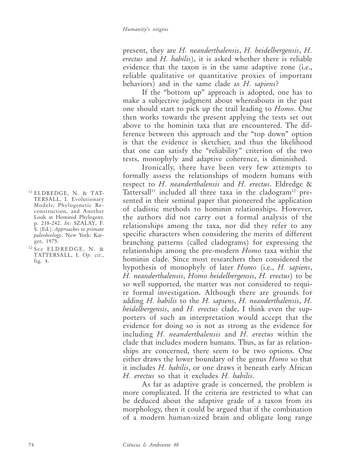present, they are *H. neanderthalensis*, *H. heidelbergensis*, *H. erectus* and *H. habilis*), it is asked whether there is reliable evidence that the taxon is in the same adaptive zone (i.e., reliable qualitative or quantitative proxies of important behaviors) and in the same clade as *H. sapiens*?

If the "bottom up" approach is adopted, one has to make a subjective judgment about whereabouts in the past one should start to pick up the trail leading to *Homo*. One then works towards the present applying the tests set out above to the hominin taxa that are encountered. The difference between this approach and the "top down" option is that the evidence is sketchier, and thus the likelihood that one can satisfy the "reliability" criterion of the two tests, monophyly and adaptive coherence, is diminished.

Ironically, there have been very few attempts to formally assess the relationships of modern humans with respect to *H. neanderthalensis* and *H. erectus*. Eldredge & Tattersall $^{11}$  included all three taxa in the cladogram $^{12}$  presented in their seminal paper that pioneered the application of cladistic methods to hominin relationships. However, the authors did not carry out a formal analysis of the relationships among the taxa, nor did they refer to any specific characters when considering the merits of different branching patterns (called cladograms) for expressing the relationships among the pre-modern *Homo* taxa within the hominin clade. Since most researchers then considered the hypothesis of monophyly of later *Homo* (i.e., *H. sapiens*, *H. neanderthalensis*, *Homo heidelbergensis*, *H. erectus*) to be so well supported, the matter was not considered to require formal investigation. Although there are grounds for adding *H. habilis* to the *H. sapiens*, *H. neanderthalensis*, *H. heidelbergensis*, and *H. erectus* clade, I think even the supporters of such an interpretation would accept that the evidence for doing so is not as strong as the evidence for including *H. neanderthalensis* and *H. erectus* within the clade that includes modern humans. Thus, as far as relationships are concerned, there seem to be two options. One either draws the lower boundary of the genus *Homo* so that it includes *H. habilis*, or one draws it beneath early African *H. erectus* so that it excludes *H. habilis*.

As far as adaptive grade is concerned, the problem is more complicated. If the criteria are restricted to what can be deduced about the adaptive grade of a taxon from its morphology, then it could be argued that if the combination of a modern human-sized brain and obligate long range

- <sup>11</sup> ELDREDGE, N. & TAT-TERSALL, I. Evolutionary Models, Phylogenetic Reconstruction, and Another Look at Hominid Phylogeny. p. 218-242. *In*: SZALAY, F. S. (Ed.). *Approaches to primate paleobiology*. New York: Karger, 1975.
- <sup>12</sup> See ELDREDGE, N. & TATTERSALL, I. *Op. cit.*, fig. 4.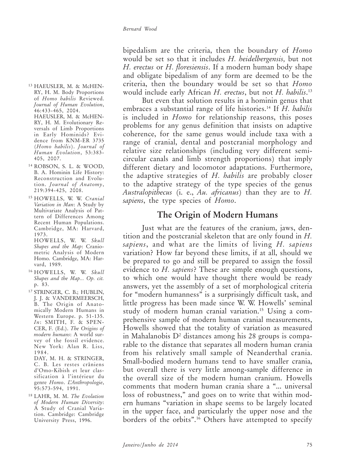- <sup>13</sup> HAEUSLER, M. & McHEN-RY, H. M. Body Proportions of *Homo habilis* Reviewed. *Journal of Human Evolution*, 46:433-465, 2004. HAEUSLER, M. & McHEN-RY, H. M. Evolutionary Reversals of Limb Proportions in Early Hominids? Evidence from KNM-ER 3735 (*Homo habilis*). *Journal of Human Evolution*, 53:383- 405, 2007.
- <sup>14</sup> ROBSON, S. L. & WOOD, B. A. Hominin Life History: Reconstruction and Evolution. *Journal of Anatomy*, 219:394-425, 2008.
- <sup>15</sup> HOWELLS, W. W. *Cranial Variation in Man*: A Study by Multivariate Analysis of Pattern of Differences Among Recent Human Populations. Cambridge, MA: Harvard, 1973.

HOWELLS, W. W. *Skull Shapes and the Map*: Craniometric Analysis of Modern Homo. Cambridge, MA: Harvard, 1989.

- <sup>16</sup> HOWELLS, W. W. *Skull Shapes and the Map... Op. cit.* p. 83.
- <sup>17</sup> STRINGER, C. B.; HUBLIN, J. J. & VANDERMEERSCH, B. The Origin of Anatomically Modern Humans in Western Europe. p. 51-135. *In*: SMITH, F. & SPEN-CER, F. (Ed.). *The Origins of modern humans*: A world survey of the fossil evidence. New York: Alan R. Liss, 1984. DAY, M. H. & STRINGER, C. B. Les restes crâniens

d'Omo-Kibish et leur classification à l'intérieur du genre *Homo*. *L'Anthropologie*, 95:573-594, 1991.

<sup>18</sup> LAHR, M. M. *The Evolution of Modern Human Diversity*: A Study of Cranial Variation. Cambridge: Cambridge University Press, 1996.

bipedalism are the criteria, then the boundary of *Homo* would be set so that it includes *H. heidelbergensis,* but not *H. erectus* or *H. floresiensis*. If a modern human body shape and obligate bipedalism of any form are deemed to be the criteria, then the boundary would be set so that *Homo* would include early African *H. erectus*, but not *H. habilis*. 13

But even that solution results in a hominin genus that embraces a substantial range of life histories.14 If *H. habilis* is included in *Homo* for relationship reasons, this poses problems for any genus definition that insists on adaptive coherence, for the same genus would include taxa with a range of cranial, dental and postcranial morphology and relative size relationships (including very different semicircular canals and limb strength proportions) that imply different dietary and locomotor adaptations. Furthermore, the adaptive strategies of *H. habilis* are probably closer to the adaptive strategy of the type species of the genus *Australopithecus* (i. e., *Au. africanus*) than they are to *H. sapiens*, the type species of *Homo*.

## **The Origin of Modern Humans**

Just what are the features of the cranium, jaws, dentition and the postcranial skeleton that are only found in *H. sapiens*, and what are the limits of living *H. sapiens* variation? How far beyond these limits, if at all, should we be prepared to go and still be prepared to assign the fossil evidence to *H. sapiens*? These are simple enough questions, to which one would have thought there would be ready answers, yet the assembly of a set of morphological criteria for "modern humanness" is a surprisingly difficult task, and little progress has been made since W. W. Howells' seminal study of modern human cranial variation.15 Using a comprehensive sample of modern human cranial measurements, Howells showed that the totality of variation as measured in Mahalanobis D2 distances among his 28 groups is comparable to the distance that separates all modern human crania from his relatively small sample of Neanderthal crania. Small-bodied modern humans tend to have smaller crania, but overall there is very little among-sample difference in the overall size of the modern human cranium. Howells comments that modern human crania share a "... universal loss of robustness," and goes on to write that within modern humans "variation in shape seems to be largely located in the upper face, and particularly the upper nose and the borders of the orbits".16 Others have attempted to specify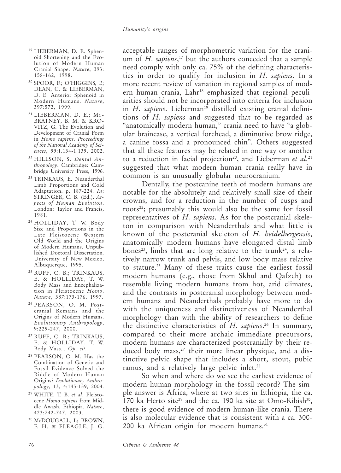- <sup>19</sup> LIEBERMAN, D. E. Sphenoid Shortening and the Evolution of Modern Human Cranial Shape. *Nature*, 393: 158-162, 1998.
- <sup>20</sup> SPOOR, F.; O'HIGGINS, P.; DEAN, C. & LIEBERMAN, D. E. Anterior Sphenoid in Modern Humans. *Nature*, 397:572, 1999.
- <sup>21</sup> LIEBERMAN, D. E.; MC-BRATNEY, B. M. & KRO-VITZ, G. The Evolution and Development of Cranial Form in *Homo sapiens*. *Proceedings of the National Academy of Sciences,* 99:1.134-1.139, 2002.
- <sup>22</sup> HILLSON, S. *Dental Anthropology*. Cambridge: Cambridge University Press, 1996.
- <sup>23</sup> TRINKAUS, E. Neanderthal Limb Proportions and Cold Adaptation. p. 187-224. *In*: STRINGER, C. B. (Ed.). *Aspects of Human Evolution*. London: Taylor and Francis, 1981.
- <sup>24</sup> HOLLIDAY, T. W. Body Size and Proportions in the Late Pleistocene Western Old World and the Origins of Modern Humans. Unpublished Doctoral Dissertation. University of New Mexico, Albuquerque, 1995.
- <sup>25</sup> RUFF, C. B.; TRINKAUS, E. & HOLLIDAY, T. W. Body Mass and Encephalization in Pleistocene *Homo*. *Nature*, 387:173-176, 1997.
- <sup>26</sup> PEARSON, O. M. Postcranial Remains and the Origins of Modern Humans. *Evolutionary Anthropology*, 9:229-247, 2000.
- <sup>27</sup> RUFF, C. B.; TRINKAUS, E. & HOLLIDAY, T. W. Body Mass... *Op. cit.*
- <sup>28</sup> PEARSON, O. M. Has the Combination of Genetic and Fossil Evidence Solved the Riddle of Modern Human Origins? *Evolutionary Anthropology*, 13, 4:145-159, 2004.
- <sup>29</sup> WHITE, T. B. *et al*. Pleistocene *Homo sapiens* from Middle Awash, Ethiopia. *Nature*, 423:742-747, 2003.
- <sup>30</sup> McDOUGALL, I.; BROWN, F. H. & FLEAGLE, J. G.

acceptable ranges of morphometric variation for the cranium of *H. sapiens*, 17 but the authors conceded that a sample need comply with only ca. 75% of the defining characteristics in order to qualify for inclusion in *H. sapiens*. In a more recent review of variation in regional samples of modern human crania, Lahr<sup>18</sup> emphasized that regional peculiarities should not be incorporated into criteria for inclusion in *H. sapiens*. Lieberman<sup>19</sup> distilled existing cranial definitions of *H. sapiens* and suggested that to be regarded as "anatomically modern human," crania need to have "a globular braincase, a vertical forehead, a diminutive brow ridge, a canine fossa and a pronounced chin". Others suggested that all these features may be related in one way or another to a reduction in facial projection<sup>20</sup>, and Lieberman *et al.*<sup>21</sup> suggested that what modern human crania really have in common is an unusually globular neurocranium.

Dentally, the postcanine teeth of modern humans are notable for the absolutely and relatively small size of their crowns, and for a reduction in the number of cusps and roots<sup>22</sup>; presumably this would also be the same for fossil representatives of *H. sapiens*. As for the postcranial skeleton in comparison with Neanderthals and what little is known of the postcranial skeleton of *H. heidelbergensis*, anatomically modern humans have elongated distal limb bones<sup>23</sup>, limbs that are long relative to the trunk<sup>24</sup>, a relatively narrow trunk and pelvis, and low body mass relative to stature.25 Many of these traits cause the earliest fossil modern humans (e.g., those from Skhul and Qafzeh) to resemble living modern humans from hot, arid climates, and the contrasts in postcranial morphology between modern humans and Neanderthals probably have more to do with the uniqueness and distinctiveness of Neanderthal morphology than with the ability of researchers to define the distinctive characteristics of *H. sapiens*. 26 In summary, compared to their more archaic immediate precursors, modern humans are characterized postcranially by their reduced body mass,<sup>27</sup> their more linear physique, and a distinctive pelvic shape that includes a short, stout, pubic ramus, and a relatively large pelvic inlet.<sup>28</sup>

So when and where do we see the earliest evidence of modern human morphology in the fossil record? The simple answer is Africa, where at two sites in Ethiopia, the ca. 170 ka Herto site<sup>29</sup> and the ca. 190 ka site at Omo-Kibish<sup>30</sup>, there is good evidence of modern human-like crania. There is also molecular evidence that is consistent with a ca. 300- 200 ka African origin for modern humans.<sup>31</sup>